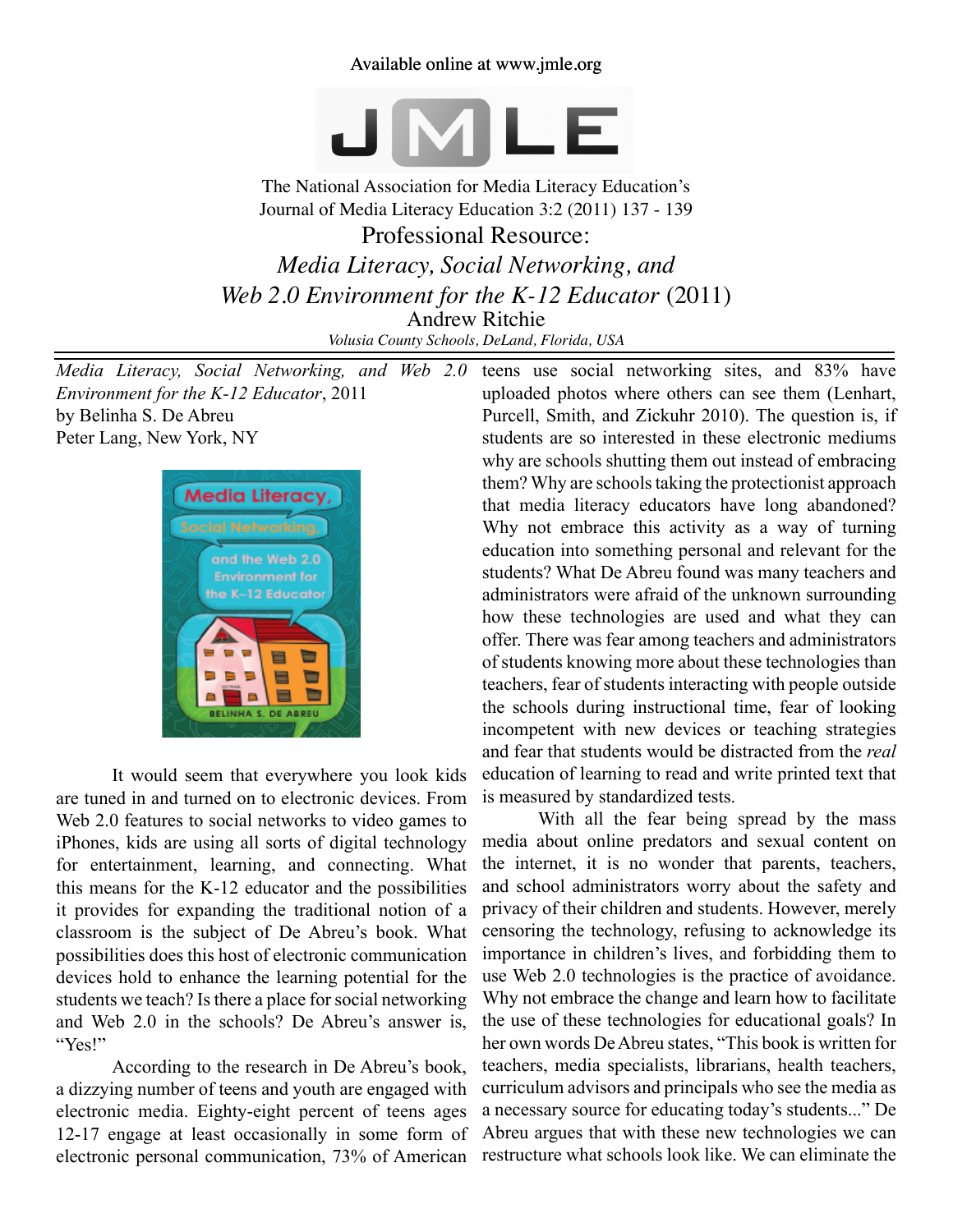## Available online at www.jmle.org



The National Association for Media Literacy Education's Journal of Media Literacy Education 3:2 (2011) 137 - 139

Professional Resource: *Media Literacy, Social Networking, and Web 2.0 Environment for the K-12 Educator* (2011) Andrew Ritchie *Volusia County Schools, DeLand, Florida, USA*

*Media Literacy, Social Networking, and Web 2.0 Environment for the K-12 Educator*, 2011 by Belinha S. De Abreu Peter Lang, New York, NY



It would seem that everywhere you look kids are tuned in and turned on to electronic devices. From Web 2.0 features to social networks to video games to iPhones, kids are using all sorts of digital technology for entertainment, learning, and connecting. What this means for the K-12 educator and the possibilities it provides for expanding the traditional notion of a classroom is the subject of De Abreu's book. What possibilities does this host of electronic communication devices hold to enhance the learning potential for the students we teach? Is there a place for social networking and Web 2.0 in the schools? De Abreu's answer is, "Yes!"

According to the research in De Abreu's book, a dizzying number of teens and youth are engaged with electronic media. Eighty-eight percent of teens ages 12-17 engage at least occasionally in some form of electronic personal communication, 73% of American restructure what schools look like. We can eliminate the

teens use social networking sites, and 83% have uploaded photos where others can see them (Lenhart, Purcell, Smith, and Zickuhr 2010). The question is, if students are so interested in these electronic mediums why are schools shutting them out instead of embracing them? Why are schools taking the protectionist approach that media literacy educators have long abandoned? Why not embrace this activity as a way of turning education into something personal and relevant for the students? What De Abreu found was many teachers and administrators were afraid of the unknown surrounding how these technologies are used and what they can offer. There was fear among teachers and administrators of students knowing more about these technologies than teachers, fear of students interacting with people outside the schools during instructional time, fear of looking incompetent with new devices or teaching strategies and fear that students would be distracted from the *real* education of learning to read and write printed text that is measured by standardized tests.

With all the fear being spread by the mass media about online predators and sexual content on the internet, it is no wonder that parents, teachers, and school administrators worry about the safety and privacy of their children and students. However, merely censoring the technology, refusing to acknowledge its importance in children's lives, and forbidding them to use Web 2.0 technologies is the practice of avoidance. Why not embrace the change and learn how to facilitate the use of these technologies for educational goals? In her own words De Abreu states, "This book is written for teachers, media specialists, librarians, health teachers, curriculum advisors and principals who see the media as a necessary source for educating today's students..." De Abreu argues that with these new technologies we can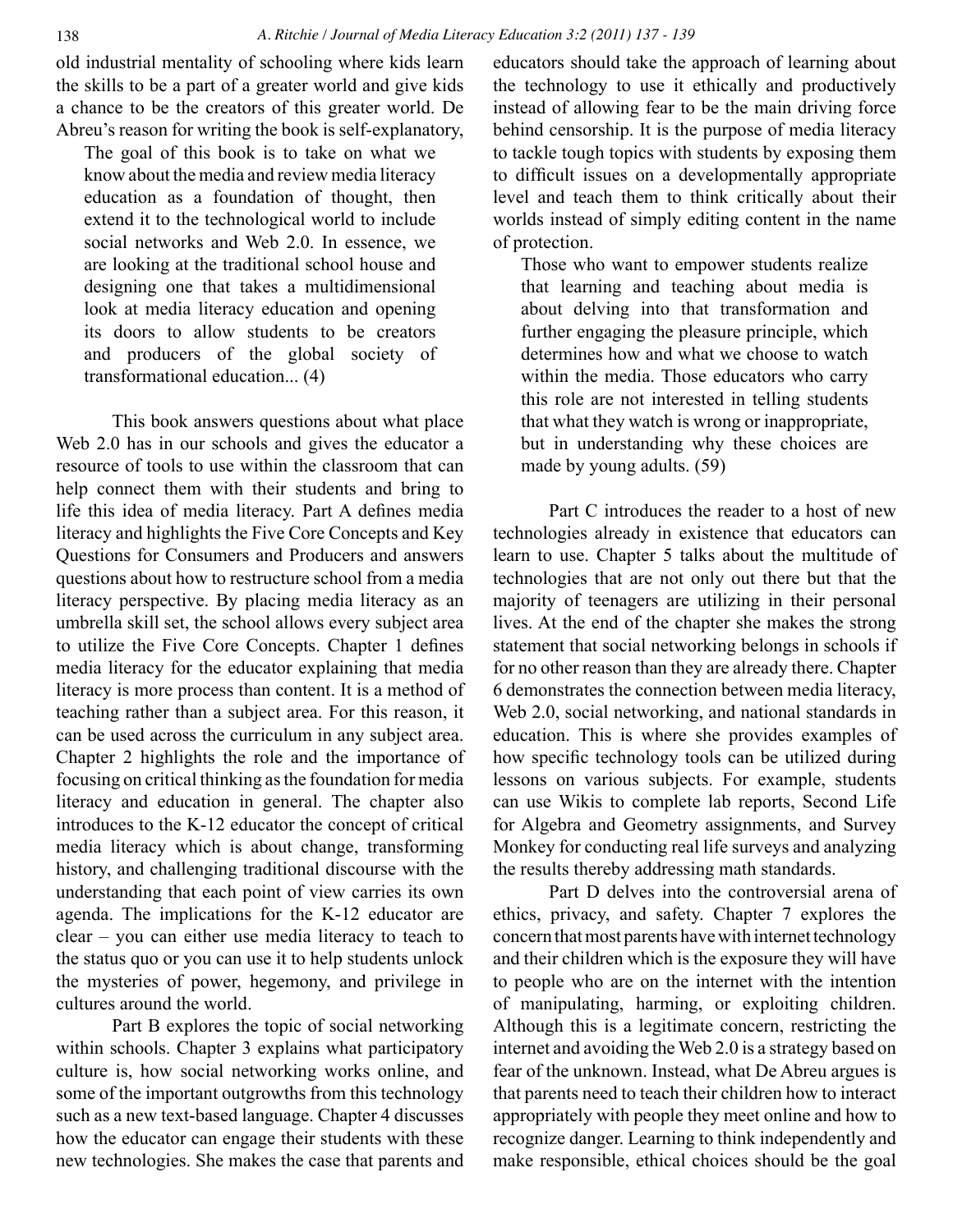old industrial mentality of schooling where kids learn the skills to be a part of a greater world and give kids a chance to be the creators of this greater world. De Abreu's reason for writing the book is self-explanatory,

The goal of this book is to take on what we know about the media and review media literacy education as a foundation of thought, then extend it to the technological world to include social networks and Web 2.0. In essence, we are looking at the traditional school house and designing one that takes a multidimensional look at media literacy education and opening its doors to allow students to be creators and producers of the global society of transformational education... (4)

This book answers questions about what place Web 2.0 has in our schools and gives the educator a resource of tools to use within the classroom that can help connect them with their students and bring to life this idea of media literacy. Part A defines media literacy and highlights the Five Core Concepts and Key Questions for Consumers and Producers and answers questions about how to restructure school from a media literacy perspective. By placing media literacy as an umbrella skill set, the school allows every subject area to utilize the Five Core Concepts. Chapter 1 defines media literacy for the educator explaining that media literacy is more process than content. It is a method of teaching rather than a subject area. For this reason, it can be used across the curriculum in any subject area. Chapter 2 highlights the role and the importance of focusing on critical thinking as the foundation for media literacy and education in general. The chapter also introduces to the K-12 educator the concept of critical media literacy which is about change, transforming history, and challenging traditional discourse with the understanding that each point of view carries its own agenda. The implications for the K-12 educator are clear – you can either use media literacy to teach to the status quo or you can use it to help students unlock the mysteries of power, hegemony, and privilege in cultures around the world.

Part B explores the topic of social networking within schools. Chapter 3 explains what participatory culture is, how social networking works online, and some of the important outgrowths from this technology such as a new text-based language. Chapter 4 discusses how the educator can engage their students with these new technologies. She makes the case that parents and educators should take the approach of learning about the technology to use it ethically and productively instead of allowing fear to be the main driving force behind censorship. It is the purpose of media literacy to tackle tough topics with students by exposing them to difficult issues on a developmentally appropriate level and teach them to think critically about their worlds instead of simply editing content in the name of protection.

Those who want to empower students realize that learning and teaching about media is about delving into that transformation and further engaging the pleasure principle, which determines how and what we choose to watch within the media. Those educators who carry this role are not interested in telling students that what they watch is wrong or inappropriate, but in understanding why these choices are made by young adults. (59)

Part C introduces the reader to a host of new technologies already in existence that educators can learn to use. Chapter 5 talks about the multitude of technologies that are not only out there but that the majority of teenagers are utilizing in their personal lives. At the end of the chapter she makes the strong statement that social networking belongs in schools if for no other reason than they are already there. Chapter 6 demonstrates the connection between media literacy, Web 2.0, social networking, and national standards in education. This is where she provides examples of how specific technology tools can be utilized during lessons on various subjects. For example, students can use Wikis to complete lab reports, Second Life for Algebra and Geometry assignments, and Survey Monkey for conducting real life surveys and analyzing the results thereby addressing math standards.

Part D delves into the controversial arena of ethics, privacy, and safety. Chapter 7 explores the concern that most parents have with internet technology and their children which is the exposure they will have to people who are on the internet with the intention of manipulating, harming, or exploiting children. Although this is a legitimate concern, restricting the internet and avoiding the Web 2.0 is a strategy based on fear of the unknown. Instead, what De Abreu argues is that parents need to teach their children how to interact appropriately with people they meet online and how to recognize danger. Learning to think independently and make responsible, ethical choices should be the goal